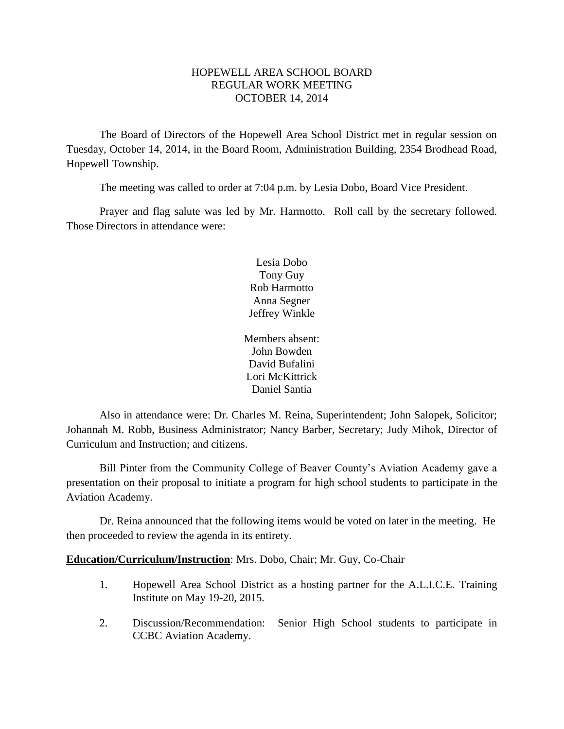# HOPEWELL AREA SCHOOL BOARD REGULAR WORK MEETING OCTOBER 14, 2014

The Board of Directors of the Hopewell Area School District met in regular session on Tuesday, October 14, 2014, in the Board Room, Administration Building, 2354 Brodhead Road, Hopewell Township.

The meeting was called to order at 7:04 p.m. by Lesia Dobo, Board Vice President.

Prayer and flag salute was led by Mr. Harmotto. Roll call by the secretary followed. Those Directors in attendance were:

> Lesia Dobo Tony Guy Rob Harmotto Anna Segner Jeffrey Winkle

Members absent: John Bowden David Bufalini Lori McKittrick Daniel Santia

Also in attendance were: Dr. Charles M. Reina, Superintendent; John Salopek, Solicitor; Johannah M. Robb, Business Administrator; Nancy Barber, Secretary; Judy Mihok, Director of Curriculum and Instruction; and citizens.

Bill Pinter from the Community College of Beaver County's Aviation Academy gave a presentation on their proposal to initiate a program for high school students to participate in the Aviation Academy.

Dr. Reina announced that the following items would be voted on later in the meeting. He then proceeded to review the agenda in its entirety.

**Education/Curriculum/Instruction**: Mrs. Dobo, Chair; Mr. Guy, Co-Chair

- 1. Hopewell Area School District as a hosting partner for the A.L.I.C.E. Training Institute on May 19-20, 2015.
- 2. Discussion/Recommendation: Senior High School students to participate in CCBC Aviation Academy.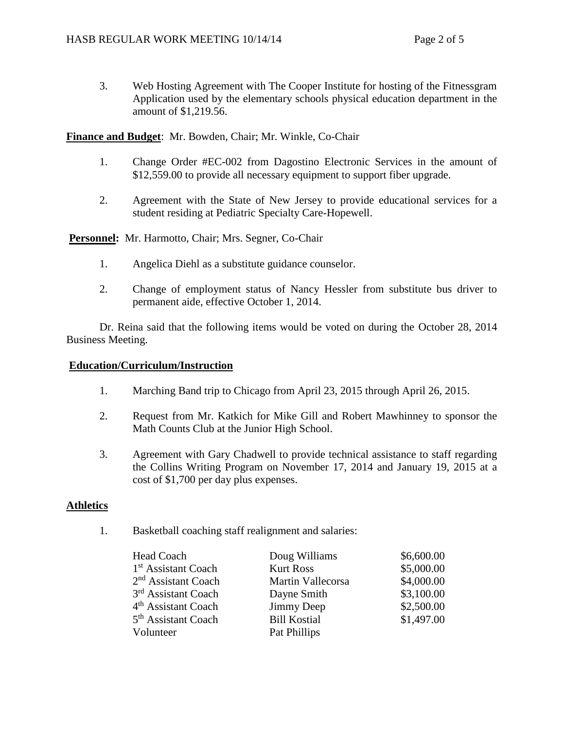3. Web Hosting Agreement with The Cooper Institute for hosting of the Fitnessgram Application used by the elementary schools physical education department in the amount of \$1,219.56.

**Finance and Budget**: Mr. Bowden, Chair; Mr. Winkle, Co-Chair

- 1. Change Order #EC-002 from Dagostino Electronic Services in the amount of \$12,559.00 to provide all necessary equipment to support fiber upgrade.
- 2. Agreement with the State of New Jersey to provide educational services for a student residing at Pediatric Specialty Care-Hopewell.

**Personnel:** Mr. Harmotto, Chair; Mrs. Segner, Co-Chair

- 1. Angelica Diehl as a substitute guidance counselor.
- 2. Change of employment status of Nancy Hessler from substitute bus driver to permanent aide, effective October 1, 2014.

Dr. Reina said that the following items would be voted on during the October 28, 2014 Business Meeting.

#### **Education/Curriculum/Instruction**

- 1. Marching Band trip to Chicago from April 23, 2015 through April 26, 2015.
- 2. Request from Mr. Katkich for Mike Gill and Robert Mawhinney to sponsor the Math Counts Club at the Junior High School.
- 3. Agreement with Gary Chadwell to provide technical assistance to staff regarding the Collins Writing Program on November 17, 2014 and January 19, 2015 at a cost of \$1,700 per day plus expenses.

#### **Athletics**

1. Basketball coaching staff realignment and salaries:

| Head Coach                      | Doug Williams       | \$6,600.00 |
|---------------------------------|---------------------|------------|
| 1 <sup>st</sup> Assistant Coach | <b>Kurt Ross</b>    | \$5,000.00 |
| $2nd$ Assistant Coach           | Martin Vallecorsa   | \$4,000.00 |
| 3 <sup>rd</sup> Assistant Coach | Dayne Smith         | \$3,100.00 |
| 4 <sup>th</sup> Assistant Coach | Jimmy Deep          | \$2,500.00 |
| 5 <sup>th</sup> Assistant Coach | <b>Bill Kostial</b> | \$1,497.00 |
| Volunteer                       | Pat Phillips        |            |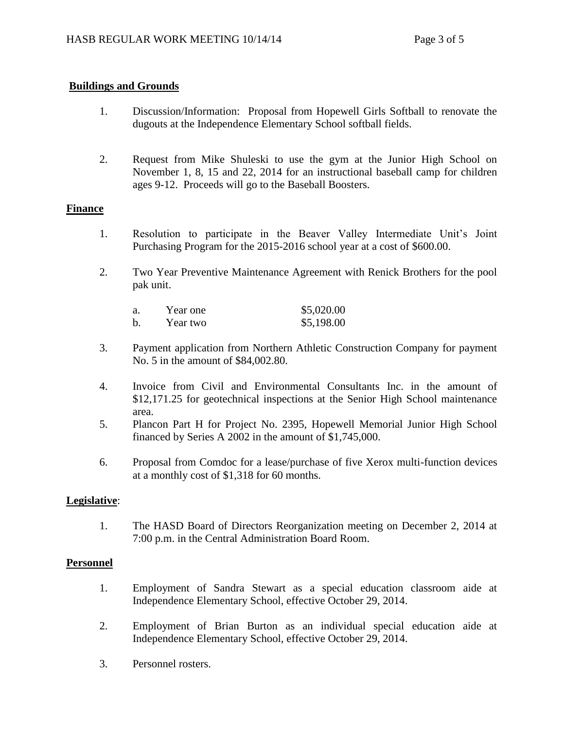# **Buildings and Grounds**

- 1. Discussion/Information: Proposal from Hopewell Girls Softball to renovate the dugouts at the Independence Elementary School softball fields.
- 2. Request from Mike Shuleski to use the gym at the Junior High School on November 1, 8, 15 and 22, 2014 for an instructional baseball camp for children ages 9-12. Proceeds will go to the Baseball Boosters.

# **Finance**

- 1. Resolution to participate in the Beaver Valley Intermediate Unit's Joint Purchasing Program for the 2015-2016 school year at a cost of \$600.00.
- 2. Two Year Preventive Maintenance Agreement with Renick Brothers for the pool pak unit.

| a.          | Year one | \$5,020.00 |
|-------------|----------|------------|
| $\mathbf b$ | Year two | \$5,198.00 |

- 3. Payment application from Northern Athletic Construction Company for payment No. 5 in the amount of \$84,002.80.
- 4. Invoice from Civil and Environmental Consultants Inc. in the amount of \$12,171.25 for geotechnical inspections at the Senior High School maintenance area.
- 5. Plancon Part H for Project No. 2395, Hopewell Memorial Junior High School financed by Series A 2002 in the amount of \$1,745,000.
- 6. Proposal from Comdoc for a lease/purchase of five Xerox multi-function devices at a monthly cost of \$1,318 for 60 months.

# **Legislative**:

1. The HASD Board of Directors Reorganization meeting on December 2, 2014 at 7:00 p.m. in the Central Administration Board Room.

#### **Personnel**

- 1. Employment of Sandra Stewart as a special education classroom aide at Independence Elementary School, effective October 29, 2014.
- 2. Employment of Brian Burton as an individual special education aide at Independence Elementary School, effective October 29, 2014.
- 3. Personnel rosters.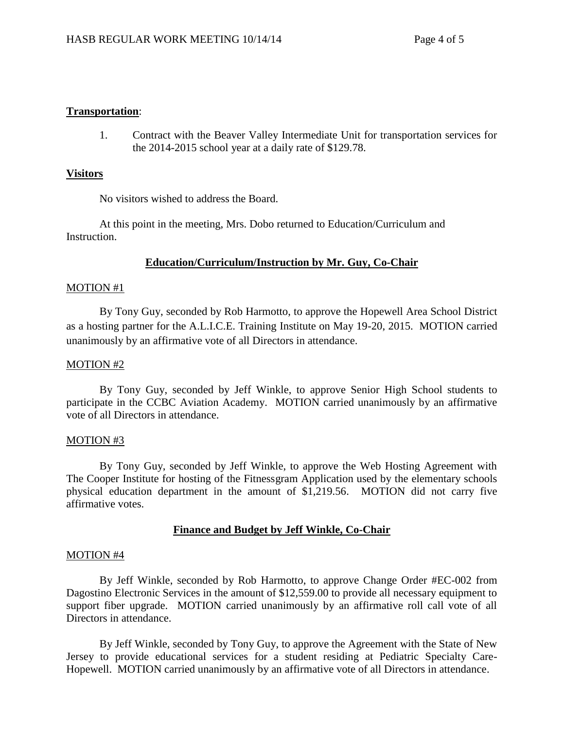### **Transportation**:

1. Contract with the Beaver Valley Intermediate Unit for transportation services for the 2014-2015 school year at a daily rate of \$129.78.

#### **Visitors**

No visitors wished to address the Board.

At this point in the meeting, Mrs. Dobo returned to Education/Curriculum and Instruction.

# **Education/Curriculum/Instruction by Mr. Guy, Co-Chair**

#### MOTION #1

By Tony Guy, seconded by Rob Harmotto, to approve the Hopewell Area School District as a hosting partner for the A.L.I.C.E. Training Institute on May 19-20, 2015. MOTION carried unanimously by an affirmative vote of all Directors in attendance.

#### MOTION #2

By Tony Guy, seconded by Jeff Winkle, to approve Senior High School students to participate in the CCBC Aviation Academy. MOTION carried unanimously by an affirmative vote of all Directors in attendance.

#### MOTION #3

By Tony Guy, seconded by Jeff Winkle, to approve the Web Hosting Agreement with The Cooper Institute for hosting of the Fitnessgram Application used by the elementary schools physical education department in the amount of \$1,219.56. MOTION did not carry five affirmative votes.

# **Finance and Budget by Jeff Winkle, Co-Chair**

#### MOTION #4

By Jeff Winkle, seconded by Rob Harmotto, to approve Change Order #EC-002 from Dagostino Electronic Services in the amount of \$12,559.00 to provide all necessary equipment to support fiber upgrade. MOTION carried unanimously by an affirmative roll call vote of all Directors in attendance.

By Jeff Winkle, seconded by Tony Guy, to approve the Agreement with the State of New Jersey to provide educational services for a student residing at Pediatric Specialty Care-Hopewell. MOTION carried unanimously by an affirmative vote of all Directors in attendance.